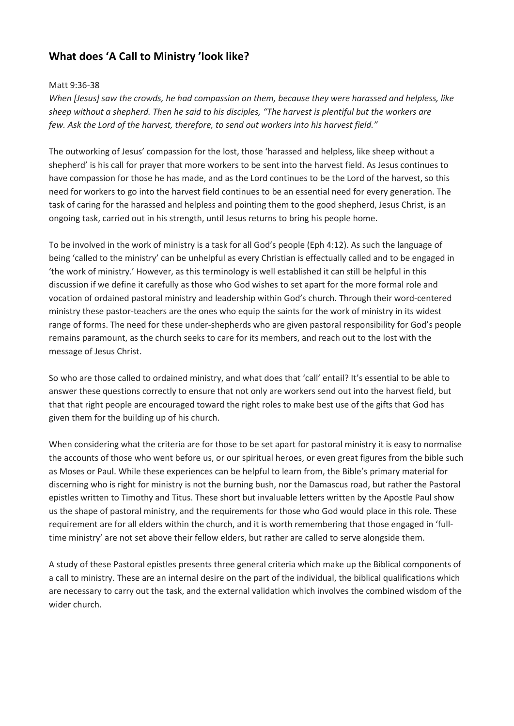# **What does 'A Call to Ministry 'look like?**

## Matt 9:36-38

*When [Jesus] saw the crowds, he had compassion on them, because they were harassed and helpless, like* sheep without a shepherd. Then he said to his disciples, "The harvest is plentiful but the workers are *few. Ask the Lord of the harvest, therefore, to send out workers into his harvest field."*

The outworking of Jesus' compassion for the lost, those 'harassed and helpless, like sheep without a shepherd' is his call for prayer that more workers to be sent into the harvest field. As Jesus continues to have compassion for those he has made, and as the Lord continues to be the Lord of the harvest, so this need for workers to go into the harvest field continues to be an essential need for every generation. The task of caring for the harassed and helpless and pointing them to the good shepherd, Jesus Christ, is an ongoing task, carried out in his strength, until Jesus returns to bring his people home.

To be involved in the work of ministry is a task for all God's people (Eph 4:12). As such the language of being 'called to the ministry' can be unhelpful as every Christian is effectually called and to be engaged in 'the work of ministry.' However, as this terminology is well established it can still be helpful in this discussion if we define it carefully as those who God wishes to set apart for the more formal role and vocation of ordained pastoral ministry and leadership within God's church. Through their word-centered ministry these pastor-teachers are the ones who equip the saints for the work of ministry in its widest range of forms. The need for these under-shepherds who are given pastoral responsibility for God's people remains paramount, as the church seeks to care for its members, and reach out to the lost with the message of Jesus Christ.

So who are those called to ordained ministry, and what does that 'call' entail? It's essential to be able to answer these questions correctly to ensure that not only are workers send out into the harvest field, but that that right people are encouraged toward the right roles to make best use of the gifts that God has given them for the building up of his church.

When considering what the criteria are for those to be set apart for pastoral ministry it is easy to normalise the accounts of those who went before us, or our spiritual heroes, or even great figures from the bible such as Moses or Paul. While these experiences can be helpful to learn from, the Bible's primary material for discerning who is right for ministry is not the burning bush, nor the Damascus road, but rather the Pastoral epistles written to Timothy and Titus. These short but invaluable letters written by the Apostle Paul show us the shape of pastoral ministry, and the requirements for those who God would place in this role. These requirement are for all elders within the church, and it is worth remembering that those engaged in 'fulltime ministry' are not set above their fellow elders, but rather are called to serve alongside them.

A study of these Pastoral epistles presents three general criteria which make up the Biblical components of a call to ministry. These are an internal desire on the part of the individual, the biblical qualifications which are necessary to carry out the task, and the external validation which involves the combined wisdom of the wider church.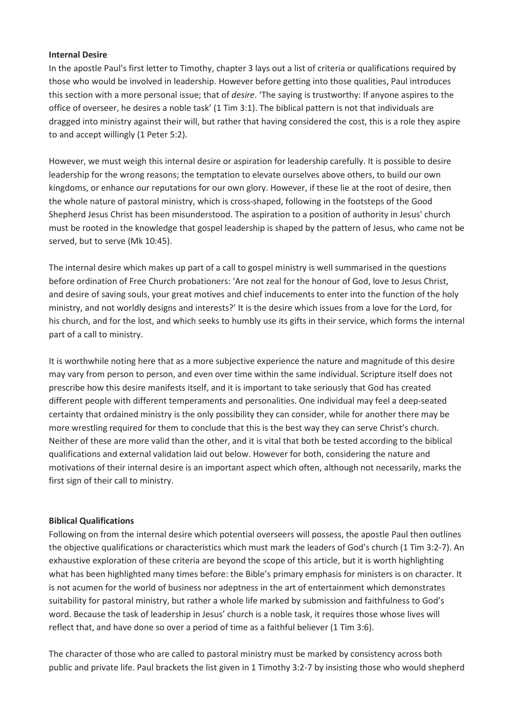#### **Internal Desire**

In the apostle Paul's first letter to Timothy, chapter 3 lays out a list of criteria or qualifications required by those who would be involved in leadership. However before getting into those qualities, Paul introduces this section with a more personal issue; that of *desire*. 'The saying is trustworthy: If anyone aspires to the office of overseer, he desires a noble task' (1 Tim 3:1). The biblical pattern is not that individuals are dragged into ministry against their will, but rather that having considered the cost, this is a role they aspire to and accept willingly (1 Peter 5:2).

However, we must weigh this internal desire or aspiration for leadership carefully. It is possible to desire leadership for the wrong reasons; the temptation to elevate ourselves above others, to build our own kingdoms, or enhance our reputations for our own glory. However, if these lie at the root of desire, then the whole nature of pastoral ministry, which is cross-shaped, following in the footsteps of the Good Shepherd Jesus Christ has been misunderstood. The aspiration to a position of authority in Jesus' church must be rooted in the knowledge that gospel leadership is shaped by the pattern of Jesus, who came not be served, but to serve (Mk 10:45).

The internal desire which makes up part of a call to gospel ministry is well summarised in the questions before ordination of Free Church probationers: 'Are not zeal for the honour of God, love to Jesus Christ, and desire of saving souls, your great motives and chief inducements to enter into the function of the holy ministry, and not worldly designs and interests?' It is the desire which issues from a love for the Lord, for his church, and for the lost, and which seeks to humbly use its gifts in their service, which forms the internal part of a call to ministry.

It is worthwhile noting here that as a more subjective experience the nature and magnitude of this desire may vary from person to person, and even over time within the same individual. Scripture itself does not prescribe how this desire manifests itself, and it is important to take seriously that God has created different people with different temperaments and personalities. One individual may feel a deep-seated certainty that ordained ministry is the only possibility they can consider, while for another there may be more wrestling required for them to conclude that this is the best way they can serve Christ's church. Neither of these are more valid than the other, and it is vital that both be tested according to the biblical qualifications and external validation laid out below. However for both, considering the nature and motivations of their internal desire is an important aspect which often, although not necessarily, marks the first sign of their call to ministry.

## **Biblical Qualifications**

Following on from the internal desire which potential overseers will possess, the apostle Paul then outlines the objective qualifications or characteristics which must mark the leaders of God's church (1 Tim 3:2-7). An exhaustive exploration of these criteria are beyond the scope of this article, but it is worth highlighting what has been highlighted many times before: the Bible's primary emphasis for ministers is on character. It is not acumen for the world of business nor adeptness in the art of entertainment which demonstrates suitability for pastoral ministry, but rather a whole life marked by submission and faithfulness to God's word. Because the task of leadership in Jesus' church is a noble task, it requires those whose lives will reflect that, and have done so over a period of time as a faithful believer (1 Tim 3:6).

The character of those who are called to pastoral ministry must be marked by consistency across both public and private life. Paul brackets the list given in 1 Timothy 3:2-7 by insisting those who would shepherd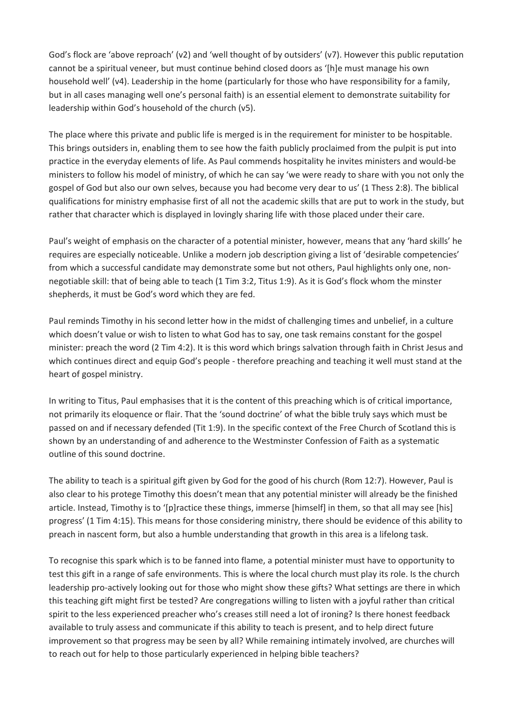God's flock are 'above reproach' (v2) and 'well thought of by outsiders' (v7). However this public reputation cannot be a spiritual veneer, but must continue behind closed doors as '[h]e must manage his own household well' (v4). Leadership in the home (particularly for those who have responsibility for a family, but in all cases managing well one's personal faith) is an essential element to demonstrate suitability for leadership within God's household of the church (v5).

The place where this private and public life is merged is in the requirement for minister to be hospitable. This brings outsiders in, enabling them to see how the faith publicly proclaimed from the pulpit is put into practice in the everyday elements of life. As Paul commends hospitality he invites ministers and would-be ministers to follow his model of ministry, of which he can say 'we were ready to share with you not only the gospel of God but also our own selves, because you had become very dear to us' (1 Thess 2:8). The biblical qualifications for ministry emphasise first of all not the academic skills that are put to work in the study, but rather that character which is displayed in lovingly sharing life with those placed under their care.

Paul's weight of emphasis on the character of a potential minister, however, means that any 'hard skills' he requires are especially noticeable. Unlike a modern job description giving a list of 'desirable competencies' from which a successful candidate may demonstrate some but not others, Paul highlights only one, nonnegotiable skill: that of being able to teach (1 Tim 3:2, Titus 1:9). As it is God's flock whom the minster shepherds, it must be God's word which they are fed.

Paul reminds Timothy in his second letter how in the midst of challenging times and unbelief, in a culture which doesn't value or wish to listen to what God has to say, one task remains constant for the gospel minister: preach the word (2 Tim 4:2). It is this word which brings salvation through faith in Christ Jesus and which continues direct and equip God's people - therefore preaching and teaching it well must stand at the heart of gospel ministry.

In writing to Titus, Paul emphasises that it is the content of this preaching which is of critical importance, not primarily its eloquence or flair. That the 'sound doctrine' of what the bible truly says which must be passed on and if necessary defended (Tit 1:9). In the specific context of the Free Church of Scotland this is shown by an understanding of and adherence to the Westminster Confession of Faith as a systematic outline of this sound doctrine.

The ability to teach is a spiritual gift given by God for the good of his church (Rom 12:7). However, Paul is also clear to his protege Timothy this doesn't mean that any potential minister will already be the finished article. Instead, Timothy is to '[p]ractice these things, immerse [himself] in them, so that all may see [his] progress' (1 Tim 4:15). This means for those considering ministry, there should be evidence of this ability to preach in nascent form, but also a humble understanding that growth in this area is a lifelong task.

To recognise this spark which is to be fanned into flame, a potential minister must have to opportunity to test this gift in a range of safe environments. This is where the local church must play its role. Is the church leadership pro-actively looking out for those who might show these gifts? What settings are there in which this teaching gift might first be tested? Are congregations willing to listen with a joyful rather than critical spirit to the less experienced preacher who's creases still need a lot of ironing? Is there honest feedback available to truly assess and communicate if this ability to teach is present, and to help direct future improvement so that progress may be seen by all? While remaining intimately involved, are churches will to reach out for help to those particularly experienced in helping bible teachers?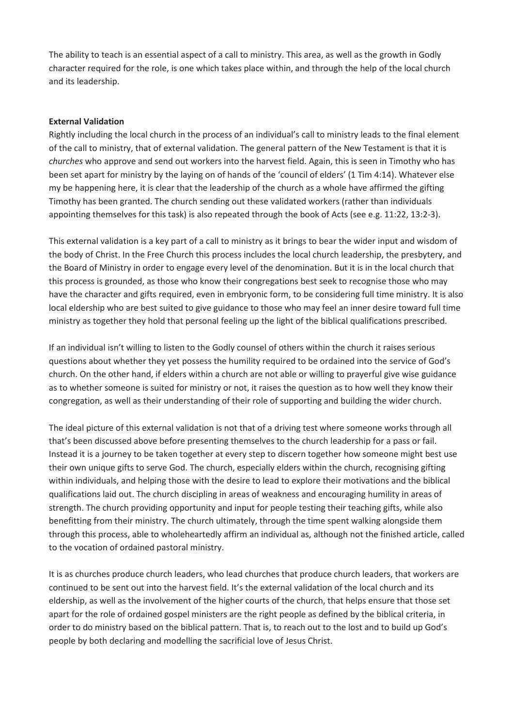The ability to teach is an essential aspect of a call to ministry. This area, as well as the growth in Godly character required for the role, is one which takes place within, and through the help of the local church and its leadership.

## **External Validation**

Rightly including the local church in the process of an individual's call to ministry leads to the final element of the call to ministry, that of external validation. The general pattern of the New Testament is that it is *churches* who approve and send out workers into the harvest field. Again, this is seen in Timothy who has been set apart for ministry by the laying on of hands of the 'council of elders' (1 Tim 4:14). Whatever else my be happening here, it is clear that the leadership of the church as a whole have affirmed the gifting Timothy has been granted. The church sending out these validated workers (rather than individuals appointing themselves for this task) is also repeated through the book of Acts (see e.g. 11:22, 13:2-3).

This external validation is a key part of a call to ministry as it brings to bear the wider input and wisdom of the body of Christ. In the Free Church this process includes the local church leadership, the presbytery, and the Board of Ministry in order to engage every level of the denomination. But it is in the local church that this process is grounded, as those who know their congregations best seek to recognise those who may have the character and gifts required, even in embryonic form, to be considering full time ministry. It is also local eldership who are best suited to give guidance to those who may feel an inner desire toward full time ministry as together they hold that personal feeling up the light of the biblical qualifications prescribed.

If an individual isn't willing to listen to the Godly counsel of others within the church it raises serious questions about whether they yet possess the humility required to be ordained into the service of God's church. On the other hand, if elders within a church are not able or willing to prayerful give wise guidance as to whether someone is suited for ministry or not, it raises the question as to how well they know their congregation, as well as their understanding of their role of supporting and building the wider church.

The ideal picture of this external validation is not that of a driving test where someone works through all that's been discussed above before presenting themselves to the church leadership for a pass or fail. Instead it is a journey to be taken together at every step to discern together how someone might best use their own unique gifts to serve God. The church, especially elders within the church, recognising gifting within individuals, and helping those with the desire to lead to explore their motivations and the biblical qualifications laid out. The church discipling in areas of weakness and encouraging humility in areas of strength. The church providing opportunity and input for people testing their teaching gifts, while also benefitting from their ministry. The church ultimately, through the time spent walking alongside them through this process, able to wholeheartedly affirm an individual as, although not the finished article, called to the vocation of ordained pastoral ministry.

It is as churches produce church leaders, who lead churches that produce church leaders, that workers are continued to be sent out into the harvest field. It's the external validation of the local church and its eldership, as well as the involvement of the higher courts of the church, that helps ensure that those set apart for the role of ordained gospel ministers are the right people as defined by the biblical criteria, in order to do ministry based on the biblical pattern. That is, to reach out to the lost and to build up God's people by both declaring and modelling the sacrificial love of Jesus Christ.